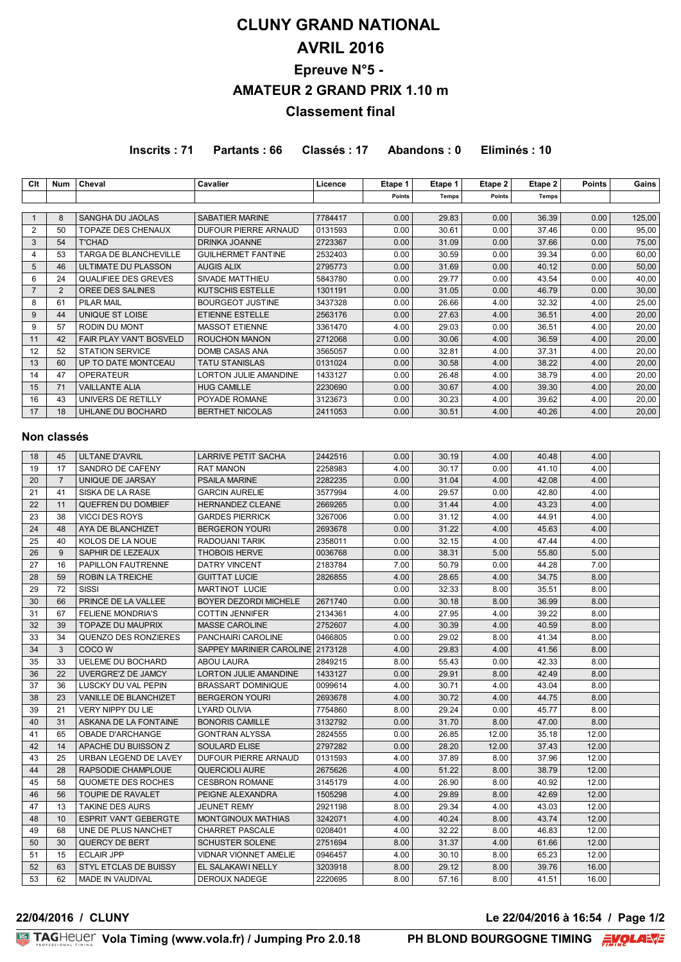# **CLUNY GRAND NATIONAL AVRIL 2016 Epreuve N°5 - AMATEUR 2 GRAND PRIX 1.10 m Classement final**

**Inscrits : 71 Partants : 66 Classés : 17 Abandons : 0 Eliminés : 10**

| Clt | Num | Cheval                       | <b>Cavalier</b>              | Licence | Etape 1 | Etape 1      | Etape 2 | Etape 2 | <b>Points</b> | Gains  |
|-----|-----|------------------------------|------------------------------|---------|---------|--------------|---------|---------|---------------|--------|
|     |     |                              |                              |         | Points  | <b>Temps</b> | Points  | Temps   |               |        |
|     |     |                              |                              |         |         |              |         |         |               |        |
|     | 8   | SANGHA DU JAOLAS             | SABATIER MARINE              | 7784417 | 0.00    | 29.83        | 0.00    | 36.39   | 0.00          | 125,00 |
| 2   | 50  | <b>TOPAZE DES CHENAUX</b>    | DUFOUR PIERRE ARNAUD         | 0131593 | 0.00    | 30.61        | 0.00    | 37.46   | 0.00          | 95,00  |
| 3   | 54  | <b>T'CHAD</b>                | DRINKA JOANNE                | 2723367 | 0.00    | 31.09        | 0.00    | 37.66   | 0.00          | 75,00  |
| 4   | 53  | <b>TARGA DE BLANCHEVILLE</b> | <b>GUILHERMET FANTINE</b>    | 2532403 | 0.00    | 30.59        | 0.00    | 39.34   | 0.00          | 60,00  |
| 5   | 46  | ULTIMATE DU PLASSON          | <b>AUGIS ALIX</b>            | 2795773 | 0.00    | 31.69        | 0.00    | 40.12   | 0.00          | 50,00  |
| 6   | 24  | <b>QUALIFIEE DES GREVES</b>  | SIVADE MATTHIEU              | 5843780 | 0.00    | 29.77        | 0.00    | 43.54   | 0.00          | 40,00  |
|     | 2   | OREE DES SALINES             | KUTSCHIS ESTELLE             | 1301191 | 0.00    | 31.05        | 0.00    | 46.79   | 0.00          | 30,00  |
| 8   | 61  | PILAR MAIL                   | <b>BOURGEOT JUSTINE</b>      | 3437328 | 0.00    | 26.66        | 4.00    | 32.32   | 4.00          | 25,00  |
| 9   | 44  | UNIQUE ST LOISE              | <b>ETIENNE ESTELLE</b>       | 2563176 | 0.00    | 27.63        | 4.00    | 36.51   | 4.00          | 20,00  |
| 9   | 57  | <b>RODIN DU MONT</b>         | <b>MASSOT ETIENNE</b>        | 3361470 | 4.00    | 29.03        | 0.00    | 36.51   | 4.00          | 20,00  |
| 11  | 42  | FAIR PLAY VAN'T BOSVELD      | <b>ROUCHON MANON</b>         | 2712068 | 0.00    | 30.06        | 4.00    | 36.59   | 4.00          | 20,00  |
| 12  | 52  | <b>STATION SERVICE</b>       | <b>DOMB CASAS ANA</b>        | 3565057 | 0.00    | 32.81        | 4.00    | 37.31   | 4.00          | 20,00  |
| 13  | 60  | UP TO DATE MONTCEAU          | <b>TATU STANISLAS</b>        | 0131024 | 0.00    | 30.58        | 4.00    | 38.22   | 4.00          | 20,00  |
| 14  | 47  | <b>OPERATEUR</b>             | <b>LORTON JULIE AMANDINE</b> | 1433127 | 0.00    | 26.48        | 4.00    | 38.79   | 4.00          | 20,00  |
| 15  | 71  | <b>VAILLANTE ALIA</b>        | <b>HUG CAMILLE</b>           | 2230690 | 0.00    | 30.67        | 4.00    | 39.30   | 4.00          | 20,00  |
| 16  | 43  | UNIVERS DE RETILLY           | POYADE ROMANE                | 3123673 | 0.00    | 30.23        | 4.00    | 39.62   | 4.00          | 20,00  |
| 17  | 18  | UHLANE DU BOCHARD            | <b>BERTHET NICOLAS</b>       | 2411053 | 0.00    | 30.51        | 4.00    | 40.26   | 4.00          | 20,00  |

#### **Non classés**

| 18 | 45             | <b>ULTANE D'AVRIL</b>        | <b>LARRIVE PETIT SACHA</b>       | 2442516 | 0.00 | 30.19 | 4.00  | 40.48 | 4.00  |  |
|----|----------------|------------------------------|----------------------------------|---------|------|-------|-------|-------|-------|--|
| 19 | 17             | SANDRO DE CAFENY             | <b>RAT MANON</b>                 | 2258983 | 4.00 | 30.17 | 0.00  | 41.10 | 4.00  |  |
| 20 | $\overline{7}$ | UNIQUE DE JARSAY             | <b>PSAILA MARINE</b>             | 2282235 | 0.00 | 31.04 | 4.00  | 42.08 | 4.00  |  |
| 21 | 41             | SISKA DE LA RASE             | <b>GARCIN AURELIE</b>            | 3577994 | 4.00 | 29.57 | 0.00  | 42.80 | 4.00  |  |
| 22 | 11             | <b>QUEFREN DU DOMBIEF</b>    | <b>HERNANDEZ CLEANE</b>          | 2669265 | 0.00 | 31.44 | 4.00  | 43.23 | 4.00  |  |
| 23 | 38             | <b>VICCI DES ROYS</b>        | <b>GARDES PIERRICK</b>           | 3267006 | 0.00 | 31.12 | 4.00  | 44.91 | 4.00  |  |
| 24 | 48             | AYA DE BLANCHIZET            | <b>BERGERON YOURI</b>            | 2693678 | 0.00 | 31.22 | 4.00  | 45.63 | 4.00  |  |
| 25 | 40             | KOLOS DE LA NOUE             | RADOUANI TARIK                   | 2358011 | 0.00 | 32.15 | 4.00  | 47.44 | 4.00  |  |
| 26 | 9              | SAPHIR DE LEZEAUX            | <b>THOBOIS HERVE</b>             | 0036768 | 0.00 | 38.31 | 5.00  | 55.80 | 5.00  |  |
| 27 | 16             | PAPILLON FAUTRENNE           | DATRY VINCENT                    | 2183784 | 7.00 | 50.79 | 0.00  | 44.28 | 7.00  |  |
| 28 | 59             | <b>ROBIN LA TREICHE</b>      | <b>GUITTAT LUCIE</b>             | 2826855 | 4.00 | 28.65 | 4.00  | 34.75 | 8.00  |  |
| 29 | 72             | SISSI                        | <b>MARTINOT LUCIE</b>            |         | 0.00 | 32.33 | 8.00  | 35.51 | 8.00  |  |
| 30 | 66             | PRINCE DE LA VALLEE          | <b>BOYER DEZORDI MICHELE</b>     | 2671740 | 0.00 | 30.18 | 8.00  | 36.99 | 8.00  |  |
| 31 | 67             | <b>FELIENE MONDRIA'S</b>     | <b>COTTIN JENNIFER</b>           | 2134361 | 4.00 | 27.95 | 4.00  | 39.22 | 8.00  |  |
| 32 | 39             | TOPAZE DU MAUPRIX            | <b>MASSE CAROLINE</b>            | 2752607 | 4.00 | 30.39 | 4.00  | 40.59 | 8.00  |  |
| 33 | 34             | QUENZO DES RONZIERES         | PANCHAIRI CAROLINE               | 0466805 | 0.00 | 29.02 | 8.00  | 41.34 | 8.00  |  |
| 34 | 3              | COCO W                       | SAPPEY MARINIER CAROLINE 2173128 |         | 4.00 | 29.83 | 4.00  | 41.56 | 8.00  |  |
| 35 | 33             | <b>UELEME DU BOCHARD</b>     | <b>ABOU LAURA</b>                | 2849215 | 8.00 | 55.43 | 0.00  | 42.33 | 8.00  |  |
| 36 | 22             | UVERGRE'Z DE JAMCY           | <b>LORTON JULIE AMANDINE</b>     | 1433127 | 0.00 | 29.91 | 8.00  | 42.49 | 8.00  |  |
| 37 | 36             | LUSCKY DU VAL PEPIN          | <b>BRASSART DOMINIQUE</b>        | 0099614 | 4.00 | 30.71 | 4.00  | 43.04 | 8.00  |  |
| 38 | 23             | VANILLE DE BLANCHIZET        | <b>BERGERON YOURI</b>            | 2693678 | 4.00 | 30.72 | 4.00  | 44.75 | 8.00  |  |
| 39 | 21             | <b>VERY NIPPY DU LIE</b>     | <b>LYARD OLIVIA</b>              | 7754860 | 8.00 | 29.24 | 0.00  | 45.77 | 8.00  |  |
| 40 | 31             | ASKANA DE LA FONTAINE        | <b>BONORIS CAMILLE</b>           | 3132792 | 0.00 | 31.70 | 8.00  | 47.00 | 8.00  |  |
| 41 | 65             | OBADE D'ARCHANGE             | <b>GONTRAN ALYSSA</b>            | 2824555 | 0.00 | 26.85 | 12.00 | 35.18 | 12.00 |  |
| 42 | 14             | APACHE DU BUISSON Z          | <b>SOULARD ELISE</b>             | 2797282 | 0.00 | 28.20 | 12.00 | 37.43 | 12.00 |  |
| 43 | 25             | URBAN LEGEND DE LAVEY        | DUFOUR PIERRE ARNAUD             | 0131593 | 4.00 | 37.89 | 8.00  | 37.96 | 12.00 |  |
| 44 | 28             | RAPSODIE CHAMPLOUE           | <b>QUERCIOLI AURE</b>            | 2675626 | 4.00 | 51.22 | 8.00  | 38.79 | 12.00 |  |
| 45 | 58             | QUOMETE DES ROCHES           | <b>CESBRON ROMANE</b>            | 3145179 | 4.00 | 26.90 | 8.00  | 40.92 | 12.00 |  |
| 46 | 56             | <b>TOUPIE DE RAVALET</b>     | PEIGNE ALEXANDRA                 | 1505298 | 4.00 | 29.89 | 8.00  | 42.69 | 12.00 |  |
| 47 | 13             | <b>TAKINE DES AURS</b>       | <b>JEUNET REMY</b>               | 2921198 | 8.00 | 29.34 | 4.00  | 43.03 | 12.00 |  |
| 48 | 10             | <b>ESPRIT VAN'T GEBERGTE</b> | <b>MONTGINOUX MATHIAS</b>        | 3242071 | 4.00 | 40.24 | 8.00  | 43.74 | 12.00 |  |
| 49 | 68             | UNE DE PLUS NANCHET          | <b>CHARRET PASCALE</b>           | 0208401 | 4.00 | 32.22 | 8.00  | 46.83 | 12.00 |  |
| 50 | 30             | QUERCY DE BERT               | <b>SCHUSTER SOLENE</b>           | 2751694 | 8.00 | 31.37 | 4.00  | 61.66 | 12.00 |  |
| 51 | 15             | <b>ECLAIR JPP</b>            | <b>VIDNAR VIONNET AMELIE</b>     | 0946457 | 4.00 | 30.10 | 8.00  | 65.23 | 12.00 |  |
| 52 | 63             | STYL ETCLAS DE BUISSY        | EL SALAKAWI NELLY                | 3203918 | 8.00 | 29.12 | 8.00  | 39.76 | 16.00 |  |
| 53 | 62             | <b>MADE IN VAUDIVAL</b>      | <b>DEROUX NADEGE</b>             | 2220695 | 8.00 | 57.16 | 8.00  | 41.51 | 16.00 |  |

**22/04/2016 / CLUNY Le 22/04/2016 à 16:54 / Page 1/2**

**FAGHELLER Vola Timing (www.vola.fr) / Jumping Pro 2.0.18**